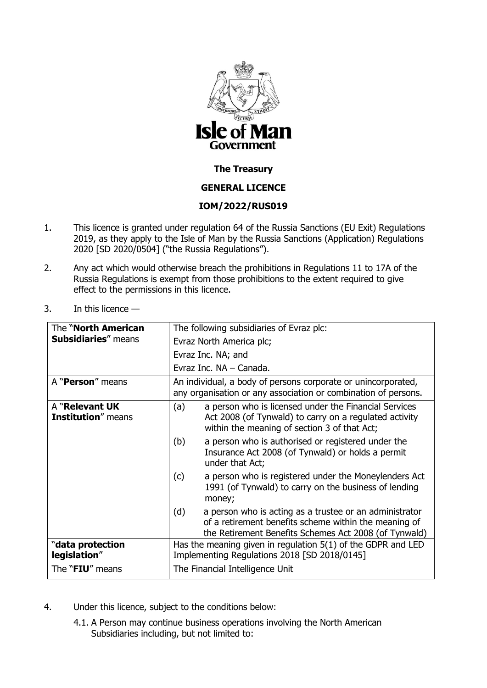

## **The Treasury**

# **GENERAL LICENCE**

# **IOM/2022/RUS019**

- 1. This licence is granted under regulation 64 of the Russia Sanctions (EU Exit) Regulations 2019, as they apply to the Isle of Man by the Russia Sanctions (Application) Regulations 2020 [SD 2020/0504] ("the Russia Regulations").
- 2. Any act which would otherwise breach the prohibitions in Regulations 11 to 17A of the Russia Regulations is exempt from those prohibitions to the extent required to give effect to the permissions in this licence.
- 3. In this licence —

| The " <b>North American</b>                  | The following subsidiaries of Evraz plc:                                                                                                                                         |
|----------------------------------------------|----------------------------------------------------------------------------------------------------------------------------------------------------------------------------------|
| <b>Subsidiaries</b> " means                  | Evraz North America plc;                                                                                                                                                         |
|                                              | Evraz Inc. NA; and                                                                                                                                                               |
|                                              | Evraz Inc. NA – Canada.                                                                                                                                                          |
| A " <b>Person</b> " means                    | An individual, a body of persons corporate or unincorporated,<br>any organisation or any association or combination of persons.                                                  |
| A "Relevant UK<br><b>Institution</b> " means | a person who is licensed under the Financial Services<br>(a)<br>Act 2008 (of Tynwald) to carry on a regulated activity<br>within the meaning of section 3 of that Act;           |
|                                              | a person who is authorised or registered under the<br>(b)<br>Insurance Act 2008 (of Tynwald) or holds a permit<br>under that Act;                                                |
|                                              | (c)<br>a person who is registered under the Moneylenders Act<br>1991 (of Tynwald) to carry on the business of lending<br>money;                                                  |
|                                              | (d)<br>a person who is acting as a trustee or an administrator<br>of a retirement benefits scheme within the meaning of<br>the Retirement Benefits Schemes Act 2008 (of Tynwald) |
| "data protection<br>legislation"             | Has the meaning given in regulation $5(1)$ of the GDPR and LED<br>Implementing Regulations 2018 [SD 2018/0145]                                                                   |
| The " <b>FIU</b> " means                     | The Financial Intelligence Unit                                                                                                                                                  |

- 4. Under this licence, subject to the conditions below:
	- 4.1. A Person may continue business operations involving the North American Subsidiaries including, but not limited to: